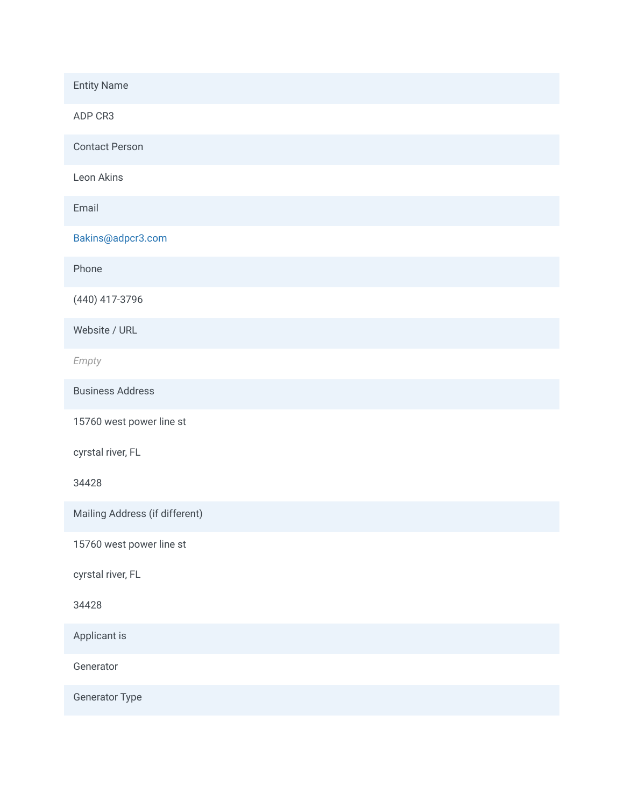Entity Name ADP CR3 Contact Person Leon Akins Email Bakins@adpcr3.com Phone (440) 417-3796 Website / URL *Empty* Business Address 15760 west power line st cyrstal river, FL 34428 Mailing Address (if different) 15760 west power line st cyrstal river, FL 34428 Applicant is Generator Generator Type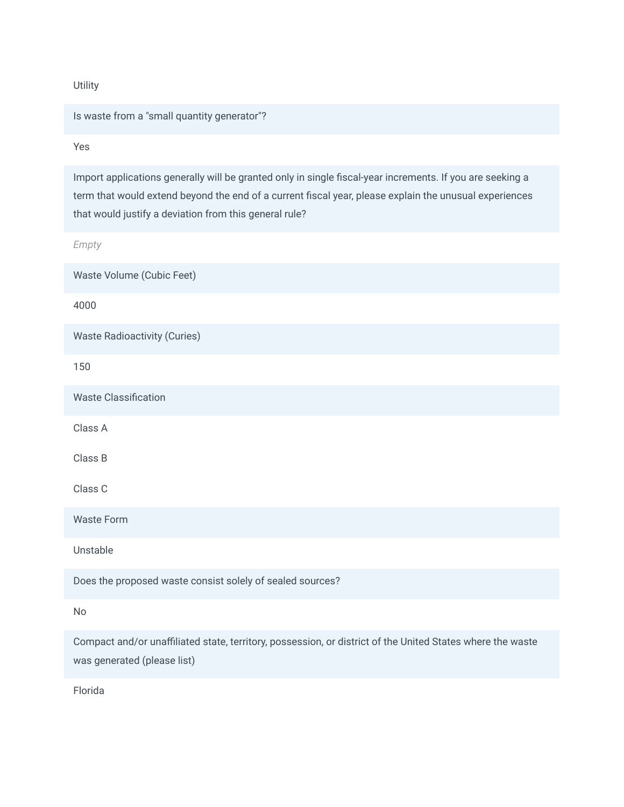**Utility** 

Is waste from a "small quantity generator"?

Yes

Import applications generally will be granted only in single fiscal-year increments. If you are seeking a term that would extend beyond the end of a current fiscal year, please explain the unusual experiences that would justify a deviation from this general rule?

*Empty*

Waste Volume (Cubic Feet) 4000 Waste Radioactivity (Curies) 150 Waste Classification Class A Class B Class C Waste Form Unstable Does the proposed waste consist solely of sealed sources? No Compact and/or unaffiliated state, territory, possession, or district of the United States where the waste

Florida

was generated (please list)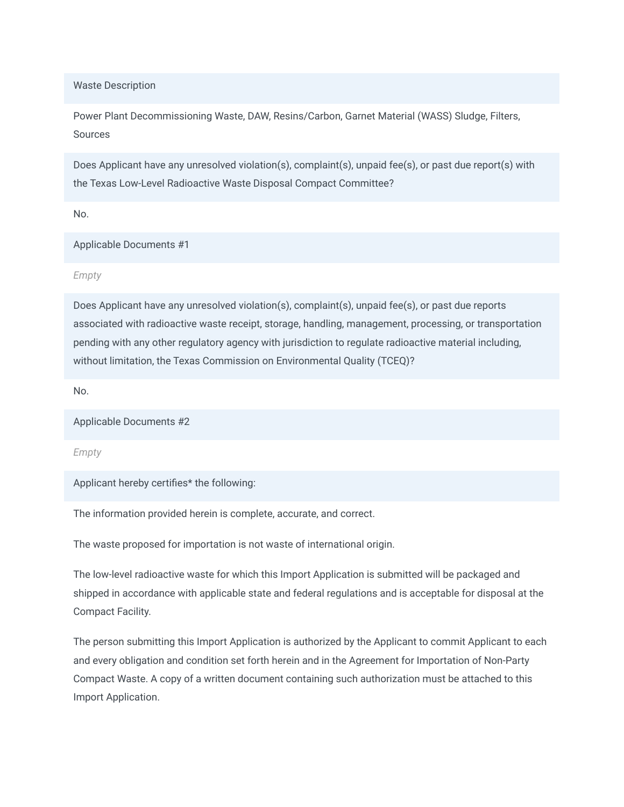Waste Description

Power Plant Decommissioning Waste, DAW, Resins/Carbon, Garnet Material (WASS) Sludge, Filters, Sources

Does Applicant have any unresolved violation(s), complaint(s), unpaid fee(s), or past due report(s) with the Texas Low-Level Radioactive Waste Disposal Compact Committee?

No.

Applicable Documents #1

*Empty*

Does Applicant have any unresolved violation(s), complaint(s), unpaid fee(s), or past due reports associated with radioactive waste receipt, storage, handling, management, processing, or transportation pending with any other regulatory agency with jurisdiction to regulate radioactive material including, without limitation, the Texas Commission on Environmental Quality (TCEQ)?

No.

Applicable Documents #2

*Empty*

Applicant hereby certifies\* the following:

The information provided herein is complete, accurate, and correct.

The waste proposed for importation is not waste of international origin.

The low-level radioactive waste for which this Import Application is submitted will be packaged and shipped in accordance with applicable state and federal regulations and is acceptable for disposal at the Compact Facility.

The person submitting this Import Application is authorized by the Applicant to commit Applicant to each and every obligation and condition set forth herein and in the Agreement for Importation of Non-Party Compact Waste. A copy of a written document containing such authorization must be attached to this Import Application.